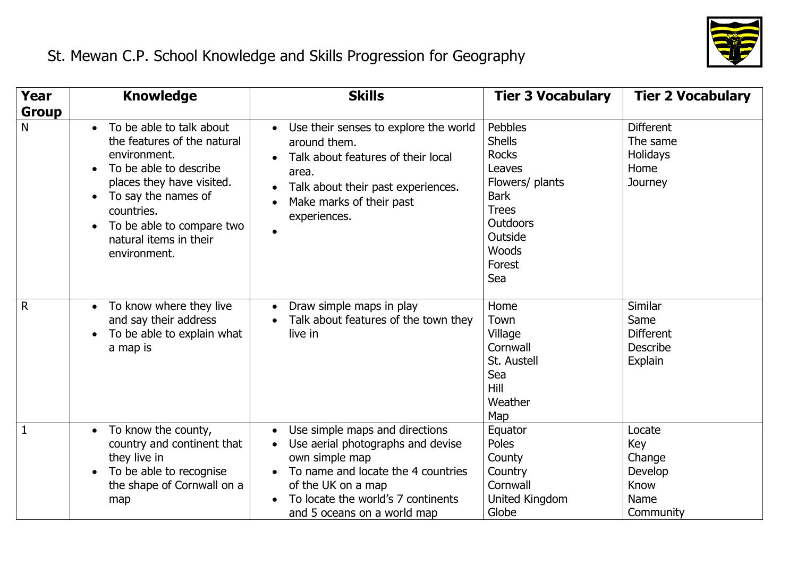

| <b>Year</b>       | <b>Knowledge</b>                                                                                                                                                                                                                             | <b>Skills</b>                                                                                                                                                                                                          | <b>Tier 3 Vocabulary</b>                                                                                                                                     | <b>Tier 2 Vocabulary</b>                                          |
|-------------------|----------------------------------------------------------------------------------------------------------------------------------------------------------------------------------------------------------------------------------------------|------------------------------------------------------------------------------------------------------------------------------------------------------------------------------------------------------------------------|--------------------------------------------------------------------------------------------------------------------------------------------------------------|-------------------------------------------------------------------|
| <b>Group</b><br>N | • To be able to talk about<br>the features of the natural<br>environment.<br>To be able to describe<br>places they have visited.<br>To say the names of<br>countries.<br>To be able to compare two<br>natural items in their<br>environment. | • Use their senses to explore the world<br>around them.<br>Talk about features of their local<br>area.<br>Talk about their past experiences.<br>Make marks of their past<br>experiences.                               | Pebbles<br><b>Shells</b><br><b>Rocks</b><br>Leaves<br>Flowers/ plants<br><b>Bark</b><br><b>Trees</b><br><b>Outdoors</b><br>Outside<br>Woods<br>Forest<br>Sea | <b>Different</b><br>The same<br>Holidays<br>Home<br>Journey       |
| $\mathsf{R}$      | • To know where they live<br>and say their address<br>To be able to explain what<br>a map is                                                                                                                                                 | Draw simple maps in play<br>Talk about features of the town they<br>live in                                                                                                                                            | Home<br>Town<br>Village<br>Cornwall<br>St. Austell<br>Sea<br>Hill<br>Weather<br>Map                                                                          | Similar<br>Same<br><b>Different</b><br><b>Describe</b><br>Explain |
| 1                 | To know the county,<br>$\bullet$<br>country and continent that<br>they live in<br>To be able to recognise<br>the shape of Cornwall on a<br>map                                                                                               | Use simple maps and directions<br>Use aerial photographs and devise<br>own simple map<br>To name and locate the 4 countries<br>of the UK on a map<br>To locate the world's 7 continents<br>and 5 oceans on a world map | Equator<br>Poles<br>County<br>Country<br>Cornwall<br>United Kingdom<br>Globe                                                                                 | Locate<br>Key<br>Change<br>Develop<br>Know<br>Name<br>Community   |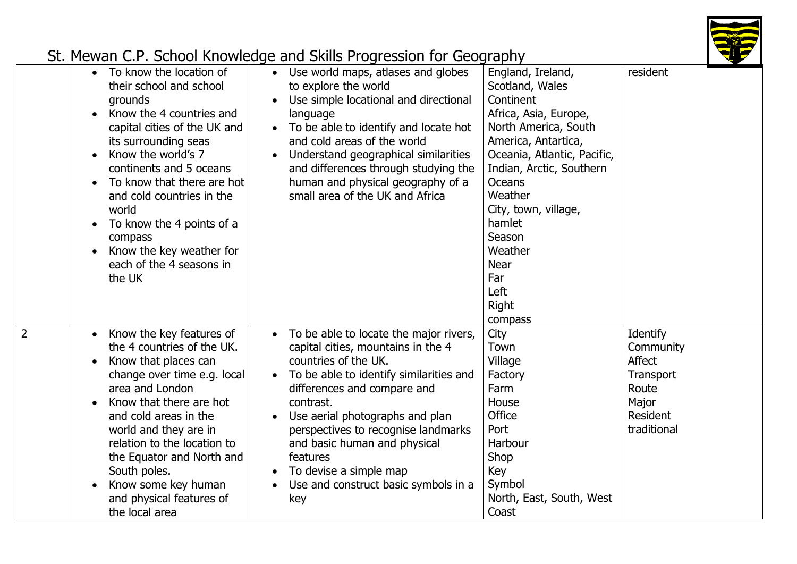

| To know the location of<br>$\bullet$<br>their school and school<br>grounds<br>Know the 4 countries and<br>capital cities of the UK and<br>its surrounding seas<br>Know the world's 7<br>continents and 5 oceans<br>To know that there are hot<br>and cold countries in the<br>world<br>To know the 4 points of a<br>compass<br>Know the key weather for<br>each of the 4 seasons in<br>the UK | Use world maps, atlases and globes<br>to explore the world<br>Use simple locational and directional<br>language<br>To be able to identify and locate hot<br>and cold areas of the world<br>Understand geographical similarities<br>and differences through studying the<br>human and physical geography of a<br>small area of the UK and Africa                                                         | England, Ireland,<br>Scotland, Wales<br>Continent<br>Africa, Asia, Europe,<br>North America, South<br>America, Antartica,<br>Oceania, Atlantic, Pacific,<br>Indian, Arctic, Southern<br><b>Oceans</b><br>Weather<br>City, town, village,<br>hamlet<br>Season<br>Weather<br><b>Near</b><br>Far<br>Left<br><b>Right</b><br>compass | resident                                                                                  |
|-----------------------------------------------------------------------------------------------------------------------------------------------------------------------------------------------------------------------------------------------------------------------------------------------------------------------------------------------------------------------------------------------|---------------------------------------------------------------------------------------------------------------------------------------------------------------------------------------------------------------------------------------------------------------------------------------------------------------------------------------------------------------------------------------------------------|----------------------------------------------------------------------------------------------------------------------------------------------------------------------------------------------------------------------------------------------------------------------------------------------------------------------------------|-------------------------------------------------------------------------------------------|
| Know the key features of<br>the 4 countries of the UK.<br>Know that places can<br>change over time e.g. local<br>area and London<br>Know that there are hot<br>and cold areas in the<br>world and they are in<br>relation to the location to<br>the Equator and North and<br>South poles.<br>Know some key human<br>and physical features of<br>the local area                                | To be able to locate the major rivers,<br>capital cities, mountains in the 4<br>countries of the UK.<br>To be able to identify similarities and<br>$\bullet$<br>differences and compare and<br>contrast.<br>Use aerial photographs and plan<br>perspectives to recognise landmarks<br>and basic human and physical<br>features<br>To devise a simple map<br>Use and construct basic symbols in a<br>key | City<br>Town<br>Village<br>Factory<br>Farm<br>House<br>Office<br>Port<br>Harbour<br>Shop<br>Key<br>Symbol<br>North, East, South, West<br>Coast                                                                                                                                                                                   | Identify<br>Community<br>Affect<br>Transport<br>Route<br>Major<br>Resident<br>traditional |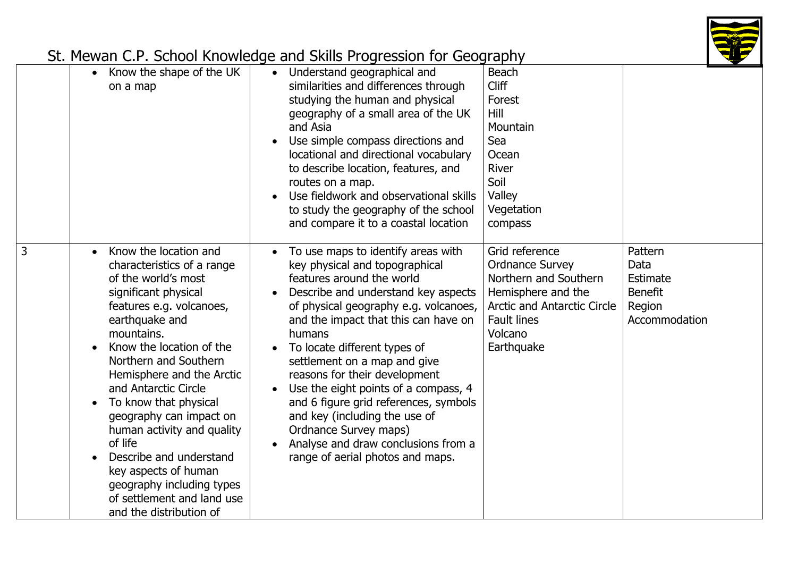

|   | Know the shape of the UK<br>$\bullet$<br>on a map                                                                                                                                                                                                                                                                                                                                                                                                                                                              | Understand geographical and<br>similarities and differences through<br>studying the human and physical<br>geography of a small area of the UK<br>and Asia<br>Use simple compass directions and<br>locational and directional vocabulary<br>to describe location, features, and<br>routes on a map.<br>Use fieldwork and observational skills<br>to study the geography of the school<br>and compare it to a coastal location                                                                                                                               | <b>Beach</b><br>Cliff<br>Forest<br>Hill<br>Mountain<br>Sea<br>Ocean<br>River<br>Soil<br>Valley<br>Vegetation<br>compass                                                      |                                                                          |
|---|----------------------------------------------------------------------------------------------------------------------------------------------------------------------------------------------------------------------------------------------------------------------------------------------------------------------------------------------------------------------------------------------------------------------------------------------------------------------------------------------------------------|------------------------------------------------------------------------------------------------------------------------------------------------------------------------------------------------------------------------------------------------------------------------------------------------------------------------------------------------------------------------------------------------------------------------------------------------------------------------------------------------------------------------------------------------------------|------------------------------------------------------------------------------------------------------------------------------------------------------------------------------|--------------------------------------------------------------------------|
| 3 | Know the location and<br>characteristics of a range<br>of the world's most<br>significant physical<br>features e.g. volcanoes,<br>earthquake and<br>mountains.<br>Know the location of the<br>Northern and Southern<br>Hemisphere and the Arctic<br>and Antarctic Circle<br>To know that physical<br>geography can impact on<br>human activity and quality<br>of life<br>Describe and understand<br>key aspects of human<br>geography including types<br>of settlement and land use<br>and the distribution of | To use maps to identify areas with<br>key physical and topographical<br>features around the world<br>Describe and understand key aspects<br>of physical geography e.g. volcanoes,<br>and the impact that this can have on<br>humans<br>To locate different types of<br>settlement on a map and give<br>reasons for their development<br>Use the eight points of a compass, 4<br>and 6 figure grid references, symbols<br>and key (including the use of<br>Ordnance Survey maps)<br>Analyse and draw conclusions from a<br>range of aerial photos and maps. | Grid reference<br><b>Ordnance Survey</b><br>Northern and Southern<br>Hemisphere and the<br><b>Arctic and Antarctic Circle</b><br><b>Fault lines</b><br>Volcano<br>Earthquake | Pattern<br>Data<br>Estimate<br><b>Benefit</b><br>Region<br>Accommodation |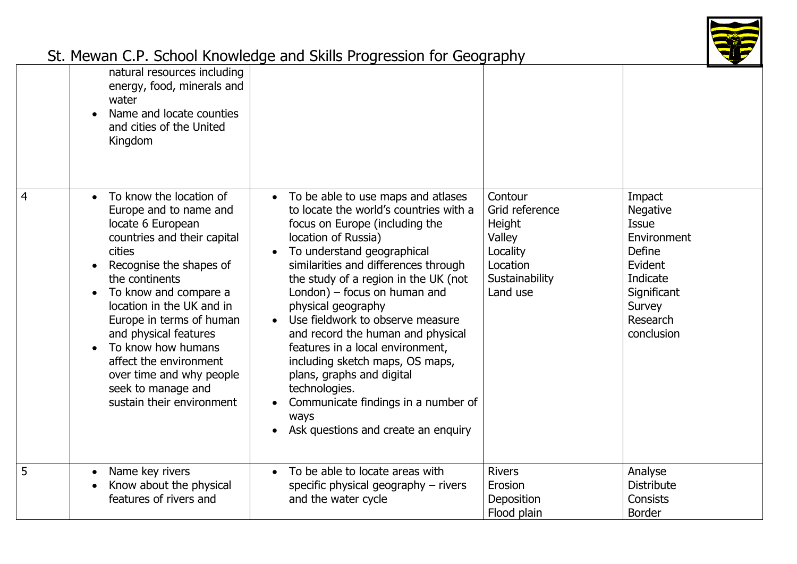

|   | natural resources including<br>energy, food, minerals and<br>water<br>Name and locate counties<br>and cities of the United<br>Kingdom                                                                                                                                                                                                                                                                                            |                                                                                                                                                                                                                                                                                                                                                                                                                                                                                                                                                                                                              |                                                                                                     |                                                                                                                                              |
|---|----------------------------------------------------------------------------------------------------------------------------------------------------------------------------------------------------------------------------------------------------------------------------------------------------------------------------------------------------------------------------------------------------------------------------------|--------------------------------------------------------------------------------------------------------------------------------------------------------------------------------------------------------------------------------------------------------------------------------------------------------------------------------------------------------------------------------------------------------------------------------------------------------------------------------------------------------------------------------------------------------------------------------------------------------------|-----------------------------------------------------------------------------------------------------|----------------------------------------------------------------------------------------------------------------------------------------------|
| 4 | To know the location of<br>$\bullet$<br>Europe and to name and<br>locate 6 European<br>countries and their capital<br>cities<br>Recognise the shapes of<br>the continents<br>To know and compare a<br>$\bullet$<br>location in the UK and in<br>Europe in terms of human<br>and physical features<br>To know how humans<br>affect the environment<br>over time and why people<br>seek to manage and<br>sustain their environment | To be able to use maps and atlases<br>$\bullet$<br>to locate the world's countries with a<br>focus on Europe (including the<br>location of Russia)<br>To understand geographical<br>similarities and differences through<br>the study of a region in the UK (not<br>London) $-$ focus on human and<br>physical geography<br>Use fieldwork to observe measure<br>and record the human and physical<br>features in a local environment,<br>including sketch maps, OS maps,<br>plans, graphs and digital<br>technologies.<br>Communicate findings in a number of<br>ways<br>Ask questions and create an enquiry | Contour<br>Grid reference<br>Height<br>Valley<br>Locality<br>Location<br>Sustainability<br>Land use | Impact<br><b>Negative</b><br>Issue<br>Environment<br><b>Define</b><br>Evident<br>Indicate<br>Significant<br>Survey<br>Research<br>conclusion |
| 5 | Name key rivers<br>$\bullet$<br>Know about the physical<br>features of rivers and                                                                                                                                                                                                                                                                                                                                                | To be able to locate areas with<br>$\bullet$<br>specific physical geography $-$ rivers<br>and the water cycle                                                                                                                                                                                                                                                                                                                                                                                                                                                                                                | <b>Rivers</b><br>Erosion<br>Deposition<br>Flood plain                                               | Analyse<br><b>Distribute</b><br>Consists<br><b>Border</b>                                                                                    |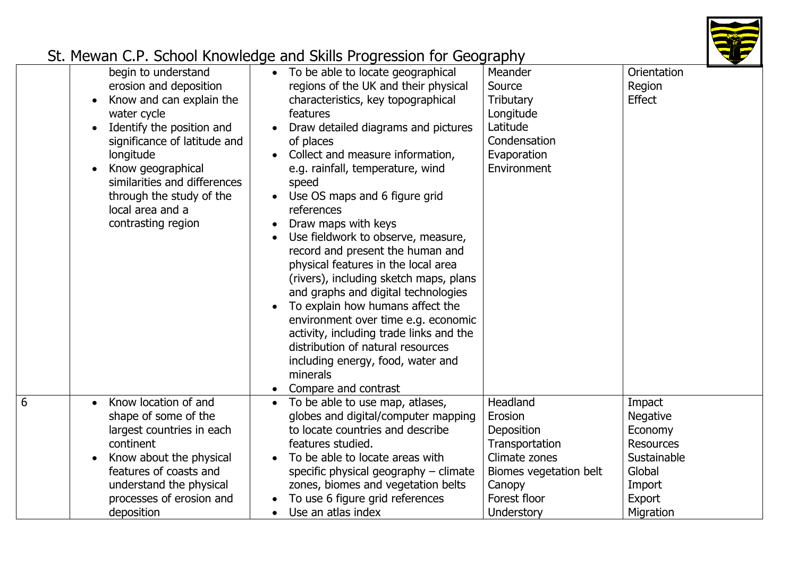

|                                                                                                                                                                                                                                                                                               | $\frac{1}{2}$                                                                                                                                                                                                                                                                                                                                                                                                                                                                                                                                                                                                                                                                                                                                                                  |                                                                                                                          |                                                                                                                    |
|-----------------------------------------------------------------------------------------------------------------------------------------------------------------------------------------------------------------------------------------------------------------------------------------------|--------------------------------------------------------------------------------------------------------------------------------------------------------------------------------------------------------------------------------------------------------------------------------------------------------------------------------------------------------------------------------------------------------------------------------------------------------------------------------------------------------------------------------------------------------------------------------------------------------------------------------------------------------------------------------------------------------------------------------------------------------------------------------|--------------------------------------------------------------------------------------------------------------------------|--------------------------------------------------------------------------------------------------------------------|
| begin to understand<br>erosion and deposition<br>Know and can explain the<br>water cycle<br>Identify the position and<br>significance of latitude and<br>longitude<br>Know geographical<br>similarities and differences<br>through the study of the<br>local area and a<br>contrasting region | • To be able to locate geographical<br>regions of the UK and their physical<br>characteristics, key topographical<br>features<br>Draw detailed diagrams and pictures<br>of places<br>Collect and measure information,<br>e.g. rainfall, temperature, wind<br>speed<br>Use OS maps and 6 figure grid<br>references<br>Draw maps with keys<br>Use fieldwork to observe, measure,<br>record and present the human and<br>physical features in the local area<br>(rivers), including sketch maps, plans<br>and graphs and digital technologies<br>To explain how humans affect the<br>environment over time e.g. economic<br>activity, including trade links and the<br>distribution of natural resources<br>including energy, food, water and<br>minerals<br>Compare and contrast | Meander<br>Source<br><b>Tributary</b><br>Longitude<br>Latitude<br>Condensation<br>Evaporation<br>Environment             | Orientation<br>Region<br><b>Effect</b>                                                                             |
| Know location of and<br>$\bullet$<br>shape of some of the<br>largest countries in each<br>continent<br>Know about the physical<br>features of coasts and<br>understand the physical<br>processes of erosion and                                                                               | To be able to use map, atlases,<br>globes and digital/computer mapping<br>to locate countries and describe<br>features studied.<br>To be able to locate areas with<br>specific physical geography $-$ climate<br>zones, biomes and vegetation belts<br>To use 6 figure grid references                                                                                                                                                                                                                                                                                                                                                                                                                                                                                         | Headland<br>Erosion<br>Deposition<br>Transportation<br>Climate zones<br>Biomes vegetation belt<br>Canopy<br>Forest floor | Impact<br><b>Negative</b><br>Economy<br><b>Resources</b><br>Sustainable<br>Global<br>Import<br>Export<br>Migration |
|                                                                                                                                                                                                                                                                                               | deposition                                                                                                                                                                                                                                                                                                                                                                                                                                                                                                                                                                                                                                                                                                                                                                     | Use an atlas index<br>$\bullet$                                                                                          | Understory                                                                                                         |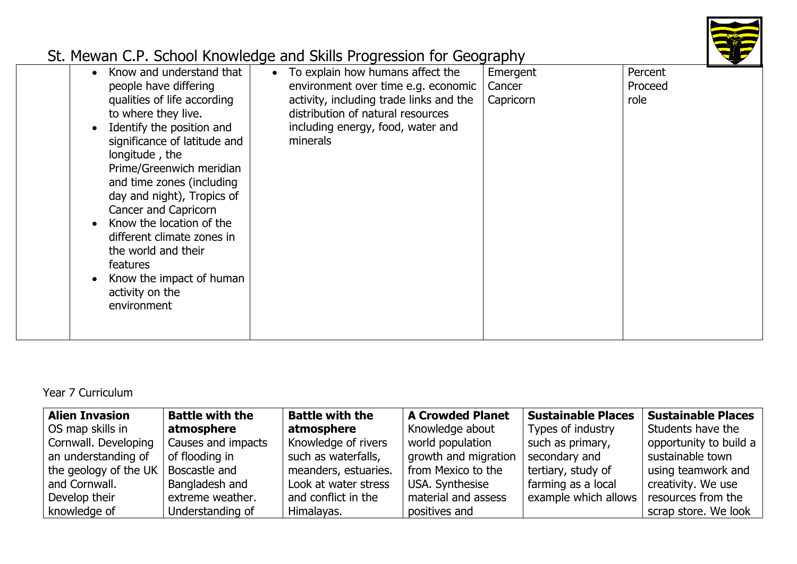

Year 7 Curriculum

| <b>Alien Invasion</b> | <b>Battle with the</b> | <b>Battle with the</b> | <b>A Crowded Planet</b> | <b>Sustainable Places</b> | <b>Sustainable Places</b> |
|-----------------------|------------------------|------------------------|-------------------------|---------------------------|---------------------------|
| OS map skills in      | atmosphere             | atmosphere             | Knowledge about         | Types of industry         | Students have the         |
| Cornwall. Developing  | Causes and impacts     | Knowledge of rivers    | world population        | such as primary,          | opportunity to build a    |
| an understanding of   | of flooding in         | such as waterfalls,    | growth and migration    | secondary and             | sustainable town          |
| the geology of the UK | Boscastle and          | meanders, estuaries.   | from Mexico to the      | tertiary, study of        | using teamwork and        |
| and Cornwall.         | Bangladesh and         | Look at water stress   | USA. Synthesise         | farming as a local        | creativity. We use        |
| Develop their         | extreme weather.       | and conflict in the    | material and assess     | example which allows      | resources from the        |
| knowledge of          | Understanding of       | Himalayas.             | positives and           |                           | scrap store. We look      |